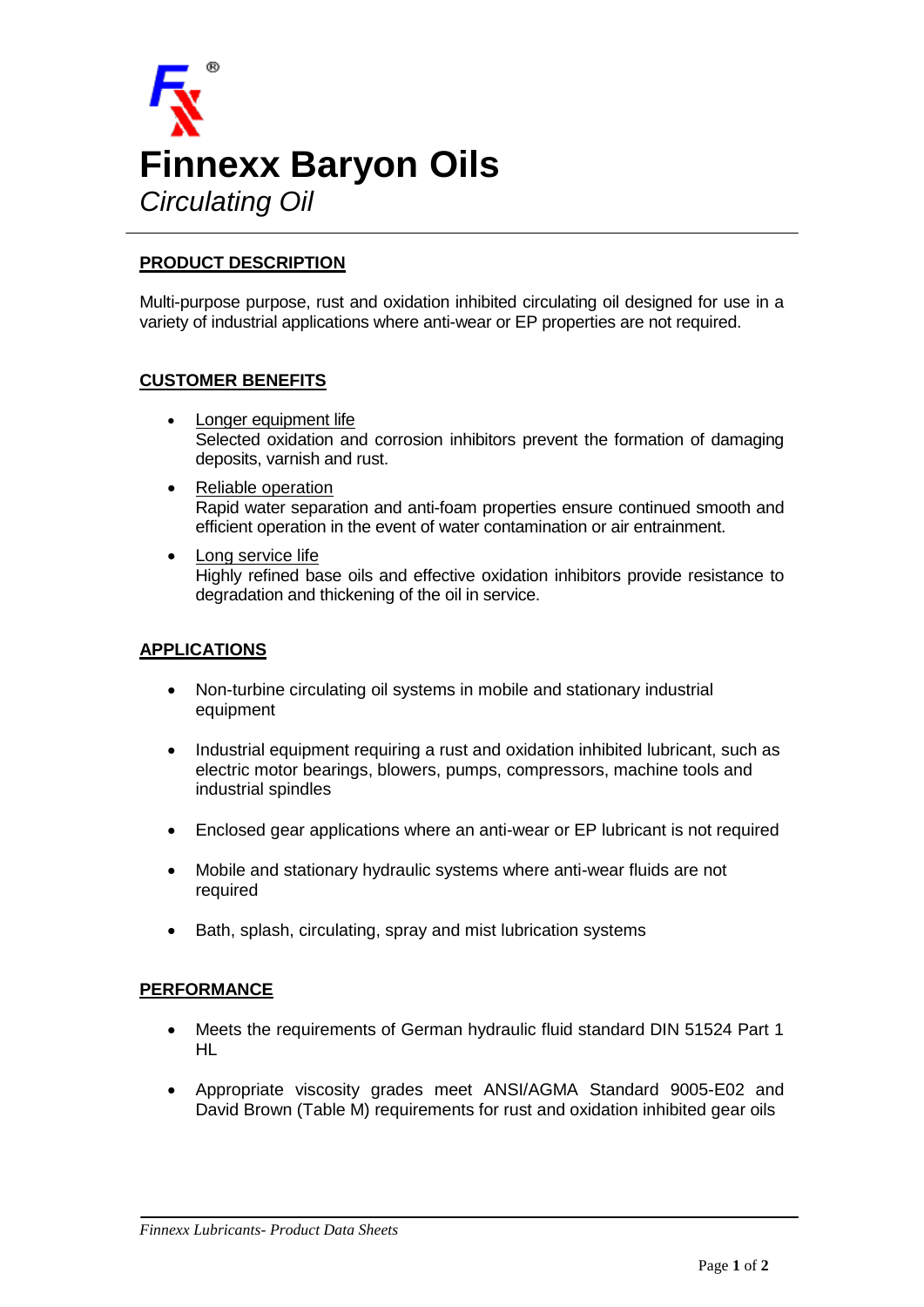

## **PRODUCT DESCRIPTION**

Multi-purpose purpose, rust and oxidation inhibited circulating oil designed for use in a variety of industrial applications where anti-wear or EP properties are not required.

### **CUSTOMER BENEFITS**

- Longer equipment life Selected oxidation and corrosion inhibitors prevent the formation of damaging deposits, varnish and rust.
- Reliable operation Rapid water separation and anti-foam properties ensure continued smooth and efficient operation in the event of water contamination or air entrainment.
- Long service life Highly refined base oils and effective oxidation inhibitors provide resistance to degradation and thickening of the oil in service.

### **APPLICATIONS**

- Non-turbine circulating oil systems in mobile and stationary industrial equipment
- Industrial equipment requiring a rust and oxidation inhibited lubricant, such as electric motor bearings, blowers, pumps, compressors, machine tools and industrial spindles
- Enclosed gear applications where an anti-wear or EP lubricant is not required
- Mobile and stationary hydraulic systems where anti-wear fluids are not required
- Bath, splash, circulating, spray and mist lubrication systems

### **PERFORMANCE**

- Meets the requirements of German hydraulic fluid standard DIN 51524 Part 1 HL
- Appropriate viscosity grades meet ANSI/AGMA Standard 9005-E02 and David Brown (Table M) requirements for rust and oxidation inhibited gear oils